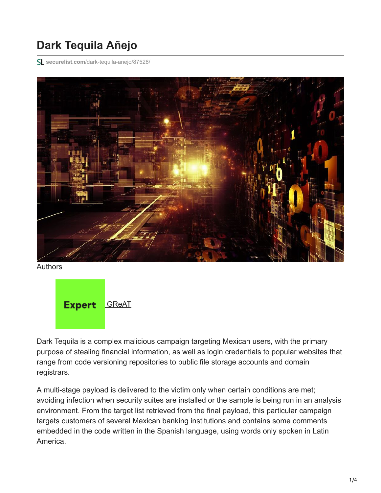## **Dark Tequila Añejo**

**securelist.com**[/dark-tequila-anejo/87528/](https://securelist.com/dark-tequila-anejo/87528/)



Authors



Dark Tequila is a complex malicious campaign targeting Mexican users, with the primary purpose of stealing financial information, as well as login credentials to popular websites that range from code versioning repositories to public file storage accounts and domain registrars.

A multi-stage payload is delivered to the victim only when certain conditions are met; avoiding infection when security suites are installed or the sample is being run in an analysis environment. From the target list retrieved from the final payload, this particular campaign targets customers of several Mexican banking institutions and contains some comments embedded in the code written in the Spanish language, using words only spoken in Latin America.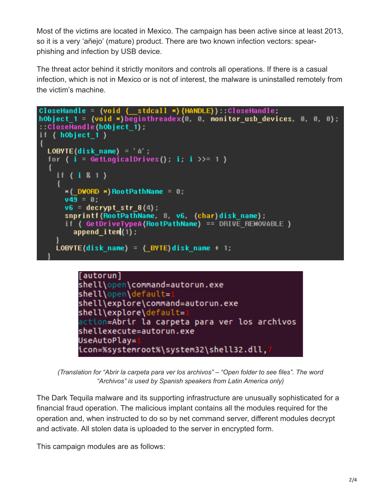Most of the victims are located in Mexico. The campaign has been active since at least 2013, so it is a very 'añejo' (mature) product. There are two known infection vectors: spearphishing and infection by USB device.

The threat actor behind it strictly monitors and controls all operations. If there is a casual infection, which is not in Mexico or is not of interest, the malware is uninstalled remotely from the victim's machine.

```
CloseHandle = {void { _stdcall *) (HANDLE) ) :: CloseHandle;
hObject 1 = (void *)beginthreadex(0, 0, monitor_usb_devices, 0, 0, 0);
::CloseHandle(hObject 1);
if (hObject_1)LOBYTE(disk name) = 'A';
  for { i = GetLogicalDrives }; i : i >>=1 }
    if (i 8 1)*(DWORD *) RootPathName = 0;
      v49 = 0:
      v6 = decrypt_str_8(4);
      snprintf(RootPathName, 8, v6, (char)disk name);
      if ( GetDriveTypeA(RootPathName) == DRIVE REMOVABLE )
        append_i tem(1) ;
    LOBYTE(disk_name) = (_BYTE)disk_name + 1;
```


*(Translation for "Abrir la carpeta para ver los archivos" – "Open folder to see files". The word "Archivos" is used by Spanish speakers from Latin America only)*

The Dark Tequila malware and its supporting infrastructure are unusually sophisticated for a financial fraud operation. The malicious implant contains all the modules required for the operation and, when instructed to do so by net command server, different modules decrypt and activate. All stolen data is uploaded to the server in encrypted form.

This campaign modules are as follows: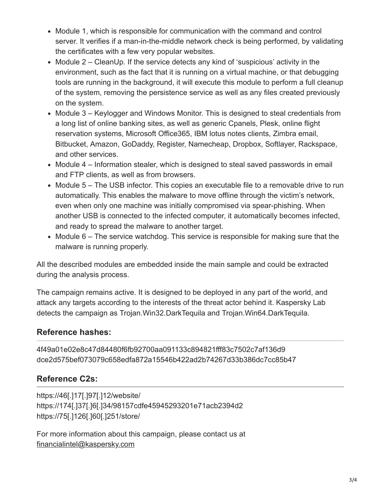- Module 1, which is responsible for communication with the command and control server. It verifies if a man-in-the-middle network check is being performed, by validating the certificates with a few very popular websites.
- $\bullet$  Module 2 CleanUp. If the service detects any kind of 'suspicious' activity in the environment, such as the fact that it is running on a virtual machine, or that debugging tools are running in the background, it will execute this module to perform a full cleanup of the system, removing the persistence service as well as any files created previously on the system.
- Module 3 Keylogger and Windows Monitor. This is designed to steal credentials from a long list of online banking sites, as well as generic Cpanels, Plesk, online flight reservation systems, Microsoft Office365, IBM lotus notes clients, Zimbra email, Bitbucket, Amazon, GoDaddy, Register, Namecheap, Dropbox, Softlayer, Rackspace, and other services.
- Module 4 Information stealer, which is designed to steal saved passwords in email and FTP clients, as well as from browsers.
- Module 5 The USB infector. This copies an executable file to a removable drive to run automatically. This enables the malware to move offline through the victim's network, even when only one machine was initially compromised via spear-phishing. When another USB is connected to the infected computer, it automatically becomes infected, and ready to spread the malware to another target.
- $\bullet$  Module 6 The service watchdog. This service is responsible for making sure that the malware is running properly.

All the described modules are embedded inside the main sample and could be extracted during the analysis process.

The campaign remains active. It is designed to be deployed in any part of the world, and attack any targets according to the interests of the threat actor behind it. Kaspersky Lab detects the campaign as Trojan.Win32.DarkTequila and Trojan.Win64.DarkTequila.

## **Reference hashes:**

4f49a01e02e8c47d84480f6fb92700aa091133c894821fff83c7502c7af136d9 dce2d575bef073079c658edfa872a15546b422ad2b74267d33b386dc7cc85b47

## **Reference C2s:**

https://46[.]17[.]97[.]12/website/ https://174[.]37[.]6[.]34/98157cdfe45945293201e71acb2394d2 https://75[.]126[.]60[.]251/store/

For more information about this campaign, please contact us at [financialintel@kaspersky.com](http://10.10.0.46/mailto:financialintel@kaspersky.com)